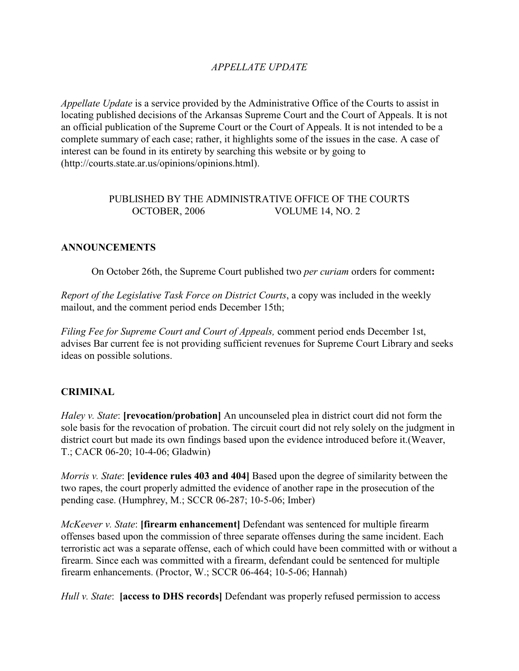## *APPELLATE UPDATE*

*Appellate Update* is a service provided by the Administrative Office of the Courts to assist in locating published decisions of the Arkansas Supreme Court and the Court of Appeals. It is not an official publication of the Supreme Court or the Court of Appeals. It is not intended to be a complete summary of each case; rather, it highlights some of the issues in the case. A case of interest can be found in its entirety by searching this website or by going to (http://courts.state.ar.us/opinions/opinions.html).

## PUBLISHED BY THE ADMINISTRATIVE OFFICE OF THE COURTS OCTOBER, 2006 VOLUME 14, NO. 2

#### **ANNOUNCEMENTS**

On October 26th, the Supreme Court published two *per curiam* orders for comment**:**

*Report of the Legislative Task Force on District Courts*, a copy was included in the weekly mailout, and the comment period ends December 15th;

*Filing Fee for Supreme Court and Court of Appeals,* comment period ends December 1st, advises Bar current fee is not providing sufficient revenues for Supreme Court Library and seeks ideas on possible solutions.

#### **CRIMINAL**

*Haley v. State*: **[revocation/probation]** An uncounseled plea in district court did not form the sole basis for the revocation of probation. The circuit court did not rely solely on the judgment in district court but made its own findings based upon the evidence introduced before it.(Weaver, T.; CACR 06-20; 10-4-06; Gladwin)

*Morris v. State*: **[evidence rules 403 and 404]** Based upon the degree of similarity between the two rapes, the court properly admitted the evidence of another rape in the prosecution of the pending case. (Humphrey, M.; SCCR 06-287; 10-5-06; Imber)

*McKeever v. State*: **[firearm enhancement]** Defendant was sentenced for multiple firearm offenses based upon the commission of three separate offenses during the same incident. Each terroristic act was a separate offense, each of which could have been committed with or without a firearm. Since each was committed with a firearm, defendant could be sentenced for multiple firearm enhancements. (Proctor, W.; SCCR 06-464; 10-5-06; Hannah)

*Hull v. State*: **[access to DHS records]** Defendant was properly refused permission to access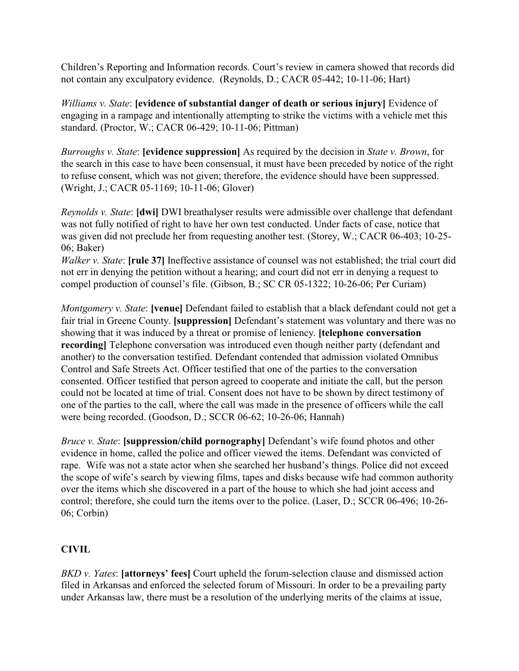Children's Reporting and Information records. Court's review in camera showed that records did not contain any exculpatory evidence. (Reynolds, D.; CACR 05-442; 10-11-06; Hart)

*Williams v. State*: **[evidence of substantial danger of death or serious injury]** Evidence of engaging in a rampage and intentionally attempting to strike the victims with a vehicle met this standard. (Proctor, W.; CACR 06-429; 10-11-06; Pittman)

*Burroughs v. State*: **[evidence suppression]** As required by the decision in *State v. Brown*, for the search in this case to have been consensual, it must have been preceded by notice of the right to refuse consent, which was not given; therefore, the evidence should have been suppressed. (Wright, J.; CACR 05-1169; 10-11-06; Glover)

*Reynolds v. State*: **[dwi]** DWI breathalyser results were admissible over challenge that defendant was not fully notified of right to have her own test conducted. Under facts of case, notice that was given did not preclude her from requesting another test. (Storey, W.; CACR 06-403; 10-25- 06; Baker)

*Walker v. State*: **[rule 37]** Ineffective assistance of counsel was not established; the trial court did not err in denying the petition without a hearing; and court did not err in denying a request to compel production of counsel's file. (Gibson, B.; SC CR 05-1322; 10-26-06; Per Curiam)

*Montgomery v. State*: **[venue]** Defendant failed to establish that a black defendant could not get a fair trial in Greene County. **[suppression]** Defendant's statement was voluntary and there was no showing that it was induced by a threat or promise of leniency. **[telephone conversation recording]** Telephone conversation was introduced even though neither party (defendant and another) to the conversation testified. Defendant contended that admission violated Omnibus Control and Safe Streets Act. Officer testified that one of the parties to the conversation consented. Officer testified that person agreed to cooperate and initiate the call, but the person could not be located at time of trial. Consent does not have to be shown by direct testimony of one of the parties to the call, where the call was made in the presence of officers while the call were being recorded. (Goodson, D.; SCCR 06-62; 10-26-06; Hannah)

*Bruce v. State*: **[suppression/child pornography]** Defendant's wife found photos and other evidence in home, called the police and officer viewed the items. Defendant was convicted of rape. Wife was not a state actor when she searched her husband's things. Police did not exceed the scope of wife's search by viewing films, tapes and disks because wife had common authority over the items which she discovered in a part of the house to which she had joint access and control; therefore, she could turn the items over to the police. (Laser, D.; SCCR 06-496; 10-26- 06; Corbin)

## **CIVIL**

*BKD v. Yates*: **[attorneys' fees]** Court upheld the forum-selection clause and dismissed action filed in Arkansas and enforced the selected forum of Missouri. In order to be a prevailing party under Arkansas law, there must be a resolution of the underlying merits of the claims at issue,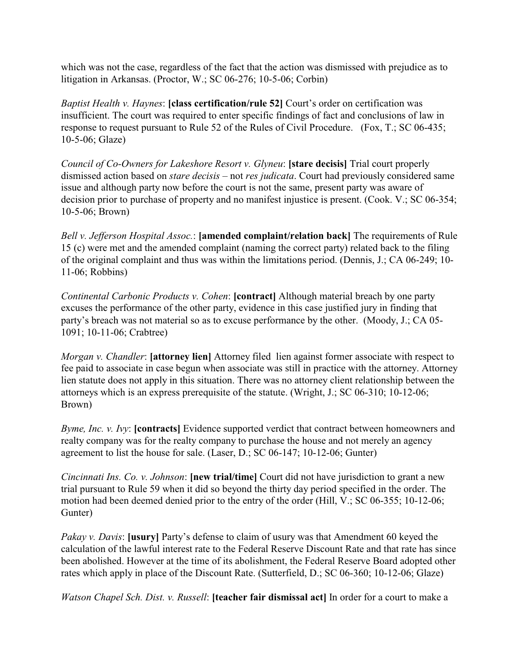which was not the case, regardless of the fact that the action was dismissed with prejudice as to litigation in Arkansas. (Proctor, W.; SC 06-276; 10-5-06; Corbin)

*Baptist Health v. Haynes*: **[class certification/rule 52]** Court's order on certification was insufficient. The court was required to enter specific findings of fact and conclusions of law in response to request pursuant to Rule 52 of the Rules of Civil Procedure. (Fox, T.; SC 06-435; 10-5-06; Glaze)

*Council of Co-Owners for Lakeshore Resort v. Glyneu*: **[stare decisis]** Trial court properly dismissed action based on *stare decisis* – not *res judicata*. Court had previously considered same issue and although party now before the court is not the same, present party was aware of decision prior to purchase of property and no manifest injustice is present. (Cook. V.; SC 06-354; 10-5-06; Brown)

*Bell v. Jefferson Hospital Assoc.*: **[amended complaint/relation back]** The requirements of Rule 15 (c) were met and the amended complaint (naming the correct party) related back to the filing of the original complaint and thus was within the limitations period. (Dennis, J.; CA 06-249; 10- 11-06; Robbins)

*Continental Carbonic Products v. Cohen*: **[contract]** Although material breach by one party excuses the performance of the other party, evidence in this case justified jury in finding that party's breach was not material so as to excuse performance by the other. (Moody, J.; CA 05- 1091; 10-11-06; Crabtree)

*Morgan v. Chandler*: **[attorney lien]** Attorney filed lien against former associate with respect to fee paid to associate in case begun when associate was still in practice with the attorney. Attorney lien statute does not apply in this situation. There was no attorney client relationship between the attorneys which is an express prerequisite of the statute. (Wright, J.; SC 06-310; 10-12-06; Brown)

*Byme, Inc. v. Ivy*: **[contracts]** Evidence supported verdict that contract between homeowners and realty company was for the realty company to purchase the house and not merely an agency agreement to list the house for sale. (Laser, D.; SC 06-147; 10-12-06; Gunter)

*Cincinnati Ins. Co. v. Johnson*: **[new trial/time]** Court did not have jurisdiction to grant a new trial pursuant to Rule 59 when it did so beyond the thirty day period specified in the order. The motion had been deemed denied prior to the entry of the order (Hill, V.; SC 06-355; 10-12-06; Gunter)

*Pakay v. Davis*: **[usury]** Party's defense to claim of usury was that Amendment 60 keyed the calculation of the lawful interest rate to the Federal Reserve Discount Rate and that rate has since been abolished. However at the time of its abolishment, the Federal Reserve Board adopted other rates which apply in place of the Discount Rate. (Sutterfield, D.; SC 06-360; 10-12-06; Glaze)

*Watson Chapel Sch. Dist. v. Russell*: **[teacher fair dismissal act]** In order for a court to make a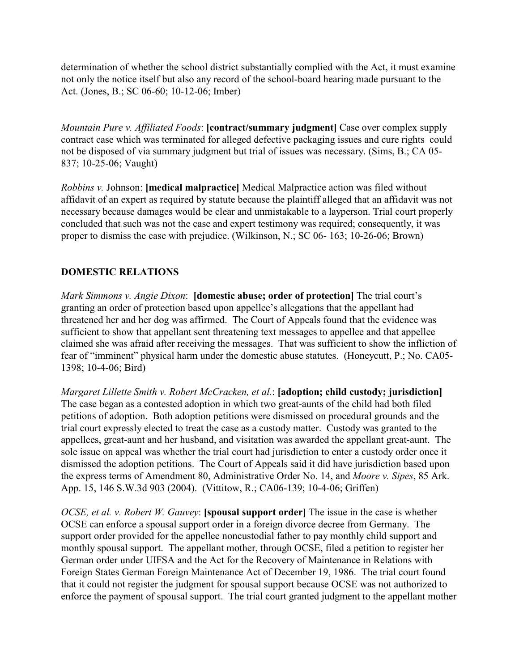determination of whether the school district substantially complied with the Act, it must examine not only the notice itself but also any record of the school-board hearing made pursuant to the Act. (Jones, B.; SC 06-60; 10-12-06; Imber)

*Mountain Pure v. Affiliated Foods*: **[contract/summary judgment]** Case over complex supply contract case which was terminated for alleged defective packaging issues and cure rights could not be disposed of via summary judgment but trial of issues was necessary. (Sims, B.; CA 05- 837; 10-25-06; Vaught)

*Robbins v.* Johnson: **[medical malpractice]** Medical Malpractice action was filed without affidavit of an expert as required by statute because the plaintiff alleged that an affidavit was not necessary because damages would be clear and unmistakable to a layperson. Trial court properly concluded that such was not the case and expert testimony was required; consequently, it was proper to dismiss the case with prejudice. (Wilkinson, N.; SC 06- 163; 10-26-06; Brown)

## **DOMESTIC RELATIONS**

*Mark Simmons v. Angie Dixon*: **[domestic abuse; order of protection]** The trial court's granting an order of protection based upon appellee's allegations that the appellant had threatened her and her dog was affirmed. The Court of Appeals found that the evidence was sufficient to show that appellant sent threatening text messages to appellee and that appellee claimed she was afraid after receiving the messages. That was sufficient to show the infliction of fear of "imminent" physical harm under the domestic abuse statutes. (Honeycutt, P.; No. CA05- 1398; 10-4-06; Bird)

*Margaret Lillette Smith v. Robert McCracken, et al.*: **[adoption; child custody; jurisdiction]** The case began as a contested adoption in which two great-aunts of the child had both filed petitions of adoption. Both adoption petitions were dismissed on procedural grounds and the trial court expressly elected to treat the case as a custody matter. Custody was granted to the appellees, great-aunt and her husband, and visitation was awarded the appellant great-aunt. The sole issue on appeal was whether the trial court had jurisdiction to enter a custody order once it dismissed the adoption petitions. The Court of Appeals said it did have jurisdiction based upon the express terms of Amendment 80, Administrative Order No. 14, and *Moore v. Sipes*, 85 Ark. App. 15, 146 S.W.3d 903 (2004). (Vittitow, R.; CA06-139; 10-4-06; Griffen)

*OCSE, et al. v. Robert W. Gauvey*: **[spousal support order]** The issue in the case is whether OCSE can enforce a spousal support order in a foreign divorce decree from Germany. The support order provided for the appellee noncustodial father to pay monthly child support and monthly spousal support. The appellant mother, through OCSE, filed a petition to register her German order under UIFSA and the Act for the Recovery of Maintenance in Relations with Foreign States German Foreign Maintenance Act of December 19, 1986. The trial court found that it could not register the judgment for spousal support because OCSE was not authorized to enforce the payment of spousal support. The trial court granted judgment to the appellant mother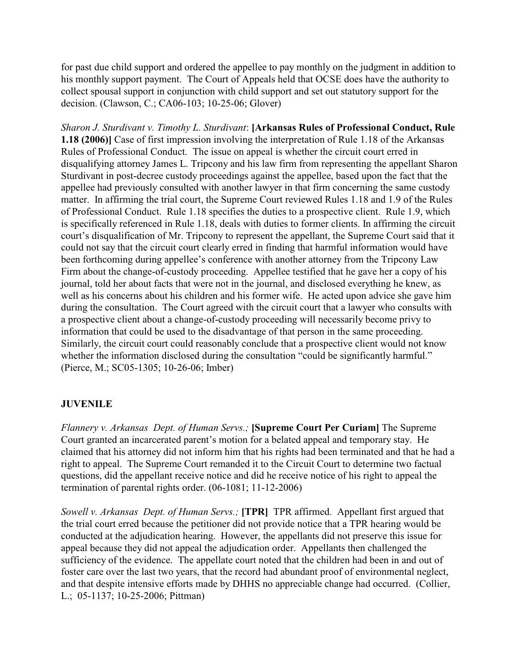for past due child support and ordered the appellee to pay monthly on the judgment in addition to his monthly support payment. The Court of Appeals held that OCSE does have the authority to collect spousal support in conjunction with child support and set out statutory support for the decision. (Clawson, C.; CA06-103; 10-25-06; Glover)

*Sharon J. Sturdivant v. Timothy L. Sturdivant*: **[Arkansas Rules of Professional Conduct, Rule 1.18 (2006)]** Case of first impression involving the interpretation of Rule 1.18 of the Arkansas Rules of Professional Conduct. The issue on appeal is whether the circuit court erred in disqualifying attorney James L. Tripcony and his law firm from representing the appellant Sharon Sturdivant in post-decree custody proceedings against the appellee, based upon the fact that the appellee had previously consulted with another lawyer in that firm concerning the same custody matter. In affirming the trial court, the Supreme Court reviewed Rules 1.18 and 1.9 of the Rules of Professional Conduct. Rule 1.18 specifies the duties to a prospective client. Rule 1.9, which is specifically referenced in Rule 1.18, deals with duties to former clients. In affirming the circuit court's disqualification of Mr. Tripcony to represent the appellant, the Supreme Court said that it could not say that the circuit court clearly erred in finding that harmful information would have been forthcoming during appellee's conference with another attorney from the Tripcony Law Firm about the change-of-custody proceeding. Appellee testified that he gave her a copy of his journal, told her about facts that were not in the journal, and disclosed everything he knew, as well as his concerns about his children and his former wife. He acted upon advice she gave him during the consultation. The Court agreed with the circuit court that a lawyer who consults with a prospective client about a change-of-custody proceeding will necessarily become privy to information that could be used to the disadvantage of that person in the same proceeding. Similarly, the circuit court could reasonably conclude that a prospective client would not know whether the information disclosed during the consultation "could be significantly harmful." (Pierce, M.; SC05-1305; 10-26-06; Imber)

## **JUVENILE**

*Flannery v. Arkansas Dept. of Human Servs.;* **[Supreme Court Per Curiam]** The Supreme Court granted an incarcerated parent's motion for a belated appeal and temporary stay. He claimed that his attorney did not inform him that his rights had been terminated and that he had a right to appeal. The Supreme Court remanded it to the Circuit Court to determine two factual questions, did the appellant receive notice and did he receive notice of his right to appeal the termination of parental rights order. (06-1081; 11-12-2006)

*Sowell v. Arkansas Dept. of Human Servs.;* **[TPR]** TPR affirmed. Appellant first argued that the trial court erred because the petitioner did not provide notice that a TPR hearing would be conducted at the adjudication hearing. However, the appellants did not preserve this issue for appeal because they did not appeal the adjudication order. Appellants then challenged the sufficiency of the evidence. The appellate court noted that the children had been in and out of foster care over the last two years, that the record had abundant proof of environmental neglect, and that despite intensive efforts made by DHHS no appreciable change had occurred. (Collier, L.; 05-1137; 10-25-2006; Pittman)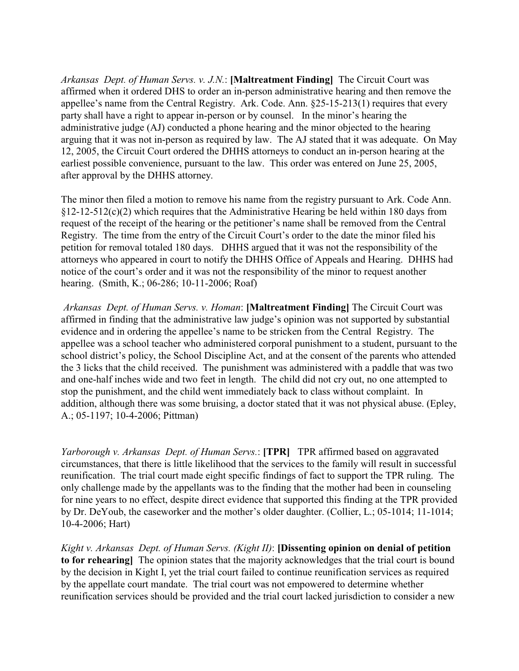*Arkansas Dept. of Human Servs. v. J.N.*: **[Maltreatment Finding]** The Circuit Court was affirmed when it ordered DHS to order an in-person administrative hearing and then remove the appellee's name from the Central Registry. Ark. Code. Ann. §25-15-213(1) requires that every party shall have a right to appear in-person or by counsel. In the minor's hearing the administrative judge (AJ) conducted a phone hearing and the minor objected to the hearing arguing that it was not in-person as required by law. The AJ stated that it was adequate. On May 12, 2005, the Circuit Court ordered the DHHS attorneys to conduct an in-person hearing at the earliest possible convenience, pursuant to the law. This order was entered on June 25, 2005, after approval by the DHHS attorney.

The minor then filed a motion to remove his name from the registry pursuant to Ark. Code Ann.  $§12-12-512(c)(2)$  which requires that the Administrative Hearing be held within 180 days from request of the receipt of the hearing or the petitioner's name shall be removed from the Central Registry. The time from the entry of the Circuit Court's order to the date the minor filed his petition for removal totaled 180 days. DHHS argued that it was not the responsibility of the attorneys who appeared in court to notify the DHHS Office of Appeals and Hearing. DHHS had notice of the court's order and it was not the responsibility of the minor to request another hearing. (Smith, K.; 06-286; 10-11-2006; Roaf)

 *Arkansas Dept. of Human Servs. v. Homan*: **[Maltreatment Finding]** The Circuit Court was affirmed in finding that the administrative law judge's opinion was not supported by substantial evidence and in ordering the appellee's name to be stricken from the Central Registry. The appellee was a school teacher who administered corporal punishment to a student, pursuant to the school district's policy, the School Discipline Act, and at the consent of the parents who attended the 3 licks that the child received. The punishment was administered with a paddle that was two and one-half inches wide and two feet in length. The child did not cry out, no one attempted to stop the punishment, and the child went immediately back to class without complaint. In addition, although there was some bruising, a doctor stated that it was not physical abuse. (Epley, A.; 05-1197; 10-4-2006; Pittman)

*Yarborough v. Arkansas Dept. of Human Servs.*: **[TPR]** TPR affirmed based on aggravated circumstances, that there is little likelihood that the services to the family will result in successful reunification. The trial court made eight specific findings of fact to support the TPR ruling. The only challenge made by the appellants was to the finding that the mother had been in counseling for nine years to no effect, despite direct evidence that supported this finding at the TPR provided by Dr. DeYoub, the caseworker and the mother's older daughter. (Collier, L.; 05-1014; 11-1014; 10-4-2006; Hart)

*Kight v. Arkansas Dept. of Human Servs. (Kight II)*: **[Dissenting opinion on denial of petition to for rehearing]** The opinion states that the majority acknowledges that the trial court is bound by the decision in Kight I, yet the trial court failed to continue reunification services as required by the appellate court mandate. The trial court was not empowered to determine whether reunification services should be provided and the trial court lacked jurisdiction to consider a new